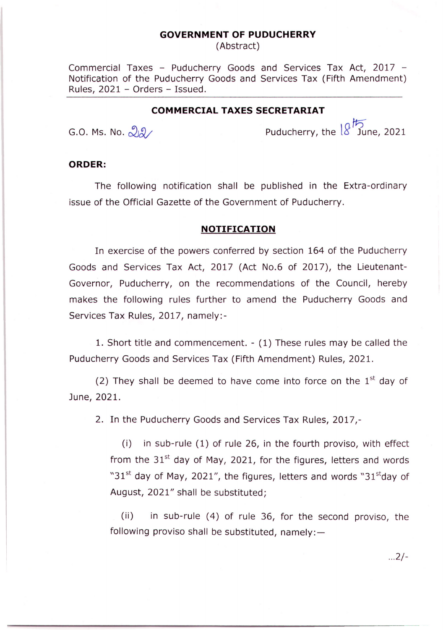## **GOVERNMENT OF PUDUCHERRY**

(Abstract)

Commercial Taxes - Puducherry Goods and Services Tax Act, 2017 - Notification of the Puducherry Goods and Services Tax (Fifth Amendment) Rules, 2021 - Orders - Issued.

## **COMMERCIAL TAXES SECRETARIAT**

*ft=)* G.O. Ms. No.  $\alpha$ 

## **ORDER:**

The following notification shall be published in the Extra-ordinary issue of the Official Gazette of the Government of Puducherry.

## **NOTIFICATION**

In exercise of the powers conferred by section 164 of the Puducherry Goods and Services Tax Act, 2017 (Act No.6 of 2017), the Lieutenant-Governor, Puducherry, on the recommendations of the Council, hereby makes the following rules further to amend the Puducherry Goods and Services Tax Rules, 2017, namely:-

1. Short title and commencement. - (1) These rules may be called the Puducherry Goods and Services Tax (Fifth Amendment) Rules, 2021.

(2) They shall be deemed to have come into force on the  $1<sup>st</sup>$  day of June, 2021.

2. In the Puducherry Goods and Services Tax Rules, 2017,-

(i) in sub-rule (1) of rule 26, in the fourth proviso, with effect from the  $31<sup>st</sup>$  day of May, 2021, for the figures, letters and words "31<sup>st</sup> day of May, 2021", the figures, letters and words "31 $<sup>st</sup>$ day of</sup> August, 2021" shall be substituted;

(ii) in sub-rule (4) of rule 36, for the second proviso, the following proviso shall be substituted, namely: $-$ 

...2/-